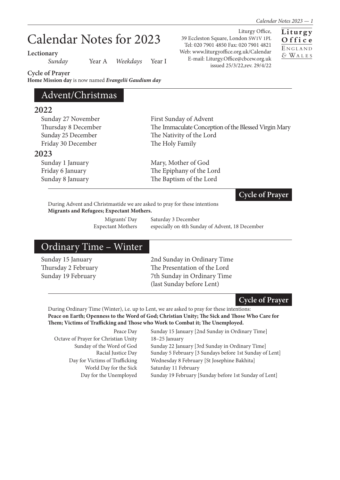# Calendar Notes for 2023

**Lectionary**

*Sunday* Year A *Weekdays* Year I

**Cycle of Prayer**

**Home Mission day** is now named *Evangelii Gaudium day*

## Advent/Christmas

### **2022**

| ZUZZ                |                                                      |
|---------------------|------------------------------------------------------|
| Sunday 27 November  | First Sunday of Advent                               |
| Thursday 8 December | The Immaculate Conception of the Blessed Virgin Mary |
| Sunday 25 December  | The Nativity of the Lord                             |
| Friday 30 December  | The Holy Family                                      |
| 2023                |                                                      |
| Sunday 1 January    | Mary, Mother of God                                  |
| Friday 6 January    | The Epiphany of the Lord                             |
| Sunday 8 January    | The Baptism of the Lord                              |

#### **Cycle of Prayer**

During Advent and Christmastide we are asked to pray for these intentions **Migrants and Refugees; Expectant Mothers.**

Migrants' Day Saturday 3 December Expectant Mothers especially on 4th Sunday of Advent, 18 December

## Ordinary Time – Winter

Sunday 15 January 2nd Sunday in Ordinary Time Thursday 2 February The Presentation of the Lord Sunday 19 February 7th Sunday in Ordinary Time (last Sunday before Lent)

#### **Cycle of Prayer**

During Ordinary Time (Winter), i.e. up to Lent, we are asked to pray for these intentions: **Peace on Earth; Openness to the Word of God; Christian Unity; The Sick and Those Who Care for Them; Victims of Trafficking and Those who Work to Combat it; The Unemployed.**

| Peace Day                            | Sunday 15 January [2nd Sunday in Ordinary Time]         |
|--------------------------------------|---------------------------------------------------------|
| Octave of Prayer for Christian Unity | $18-25$ January                                         |
| Sunday of the Word of God            | Sunday 22 January [3rd Sunday in Ordinary Time]         |
| Racial Justice Day                   | Sunday 5 February [3 Sundays before 1st Sunday of Lent] |
| Day for Victims of Trafficking       | Wednesday 8 February [St Josephine Bakhita]             |
| World Day for the Sick               | Saturday 11 February                                    |
| Day for the Unemployed               | Sunday 19 February [Sunday before 1st Sunday of Lent]   |
|                                      |                                                         |

Liturgy Office, 39 Eccleston Square, London SW1V 1PL Tel: 020 7901 4850 Fax: 020 7901 4821 Web: www.liturgyoffice.org.uk/Calendar E-mail: Liturgy.Office@cbcew.org.uk issued 25/3/22,rev. 29/4/22

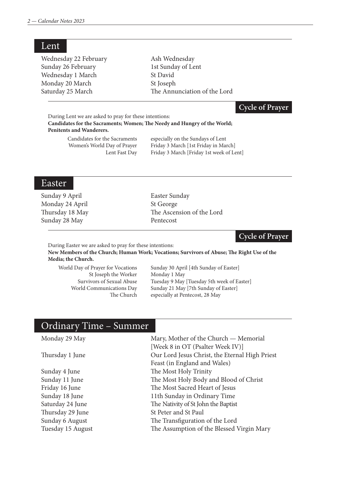Lent

| Wednesday 22 February | Ash Wednesday                |
|-----------------------|------------------------------|
| Sunday 26 February    | 1st Sunday of Lent           |
| Wednesday 1 March     | St David                     |
| Monday 20 March       | St Joseph                    |
| Saturday 25 March     | The Annunciation of the Lord |
|                       |                              |

#### **Cycle of Prayer**

During Lent we are asked to pray for these intentions: **Candidates for the Sacraments; Women; The Needy and Hungry of the World; Penitents and Wanderers.**

 Candidates for the Sacraments especially on the Sundays of Lent Women's World Day of Prayer Friday 3 March [1st Friday in March] Lent Fast Day Friday 3 March [Friday 1st week of Lent]

#### Easter

Sunday 9 April Easter Sunday Monday 24 April St George Sunday 28 May Pentecost

Thursday 18 May The Ascension of the Lord

#### **Cycle of Prayer**

During Easter we are asked to pray for these intentions:

**New Members of the Church; Human Work; Vocations; Survivors of Abuse; The Right Use of the Media; the Church.**

St Joseph the Worker Monday 1 May

World Day of Prayer for Vocations Sunday 30 April [4th Sunday of Easter] Survivors of Sexual Abuse Tuesday 9 May [Tuesday 5th week of Easter] World Communications Day Sunday 21 May [7th Sunday of Easter] The Church especially at Pentecost, 28 May

## Ordinary Time – Summer

Monday 29 May Mary, Mother of the Church — Memorial [Week 8 in OT (Psalter Week IV)] Thursday 1 June Our Lord Jesus Christ, the Eternal High Priest Feast (in England and Wales) Sunday 4 June The Most Holy Trinity Sunday 11 June The Most Holy Body and Blood of Christ Friday 16 June The Most Sacred Heart of Jesus Sunday 18 June 11th Sunday in Ordinary Time Saturday 24 June The Nativity of St John the Baptist Thursday 29 June St Peter and St Paul Sunday 6 August The Transfiguration of the Lord Tuesday 15 August The Assumption of the Blessed Virgin Mary